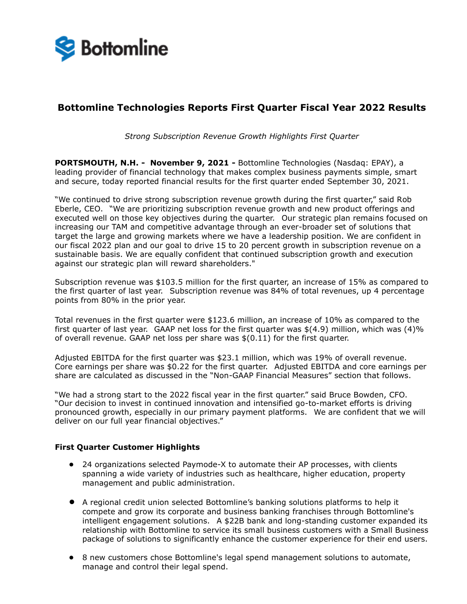

# **Bottomline Technologies Reports First Quarter Fiscal Year 2022 Results**

*Strong Subscription Revenue Growth Highlights First Quarter*

**PORTSMOUTH, N.H. - November 9, 2021 -** Bottomline Technologies (Nasdaq: EPAY), a leading provider of financial technology that makes complex business payments simple, smart and secure, today reported financial results for the first quarter ended September 30, 2021.

"We continued to drive strong subscription revenue growth during the first quarter," said Rob Eberle, CEO. "We are prioritizing subscription revenue growth and new product offerings and executed well on those key objectives during the quarter. Our strategic plan remains focused on increasing our TAM and competitive advantage through an ever-broader set of solutions that target the large and growing markets where we have a leadership position. We are confident in our fiscal 2022 plan and our goal to drive 15 to 20 percent growth in subscription revenue on a sustainable basis. We are equally confident that continued subscription growth and execution against our strategic plan will reward shareholders."

Subscription revenue was \$103.5 million for the first quarter, an increase of 15% as compared to the first quarter of last year. Subscription revenue was 84% of total revenues, up 4 percentage points from 80% in the prior year.

Total revenues in the first quarter were \$123.6 million, an increase of 10% as compared to the first quarter of last year. GAAP net loss for the first quarter was  $\$(4.9)$  million, which was  $\$(4)\%$ of overall revenue. GAAP net loss per share was \$(0.11) for the first quarter.

Adjusted EBITDA for the first quarter was \$23.1 million, which was 19% of overall revenue. Core earnings per share was \$0.22 for the first quarter. Adjusted EBITDA and core earnings per share are calculated as discussed in the "Non-GAAP Financial Measures" section that follows.

"We had a strong start to the 2022 fiscal year in the first quarter." said Bruce Bowden, CFO. "Our decision to invest in continued innovation and intensified go-to-market efforts is driving pronounced growth, especially in our primary payment platforms. We are confident that we will deliver on our full year financial objectives."

# **First Quarter Customer Highlights**

- **•** 24 organizations selected Paymode-X to automate their AP processes, with clients spanning a wide variety of industries such as healthcare, higher education, property management and public administration.
- **•** A regional credit union selected Bottomline's banking solutions platforms to help it compete and grow its corporate and business banking franchises through Bottomline's intelligent engagement solutions. A \$22B bank and long-standing customer expanded its relationship with Bottomline to service its small business customers with a Small Business package of solutions to significantly enhance the customer experience for their end users.
- **•** 8 new customers chose Bottomline's legal spend management solutions to automate, manage and control their legal spend.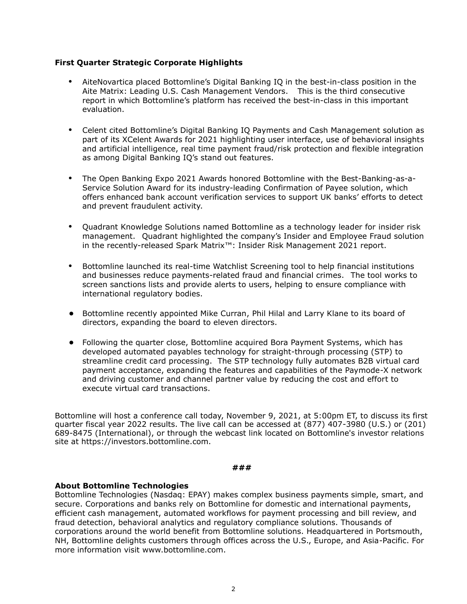# **First Quarter Strategic Corporate Highlights**

- **•** AiteNovartica placed Bottomline's Digital Banking IQ in the best-in-class position in the Aite Matrix: Leading U.S. Cash Management Vendors. This is the third consecutive report in which Bottomline's platform has received the best-in-class in this important evaluation.
- **•** Celent cited Bottomline's Digital Banking IQ Payments and Cash Management solution as part of its XCelent Awards for 2021 highlighting user interface, use of behavioral insights and artificial intelligence, real time payment fraud/risk protection and flexible integration as among Digital Banking IQ's stand out features.
- **•** The Open Banking Expo 2021 Awards honored Bottomline with the Best-Banking-as-a-Service Solution Award for its industry-leading Confirmation of Payee solution, which offers enhanced bank account verification services to support UK banks' efforts to detect and prevent fraudulent activity.
- **•** Quadrant Knowledge Solutions named Bottomline as a technology leader for insider risk management. Quadrant highlighted the company's Insider and Employee Fraud solution in the recently-released Spark Matrix™: Insider Risk Management 2021 report.
- **•** Bottomline launched its real-time Watchlist Screening tool to help financial institutions and businesses reduce payments-related fraud and financial crimes. The tool works to screen sanctions lists and provide alerts to users, helping to ensure compliance with international regulatory bodies.
- **•** Bottomline recently appointed Mike Curran, Phil Hilal and Larry Klane to its board of directors, expanding the board to eleven directors.
- **•** Following the quarter close, Bottomline acquired Bora Payment Systems, which has developed automated payables technology for straight-through processing (STP) to streamline credit card processing. The STP technology fully automates B2B virtual card payment acceptance, expanding the features and capabilities of the Paymode-X network and driving customer and channel partner value by reducing the cost and effort to execute virtual card transactions.

Bottomline will host a conference call today, November 9, 2021, at 5:00pm ET, to discuss its first quarter fiscal year 2022 results. The live call can be accessed at (877) 407-3980 (U.S.) or (201) 689-8475 (International), or through the webcast link located on Bottomline's investor relations site at https://investors.bottomline.com.

#### **###**

#### **About Bottomline Technologies**

Bottomline Technologies (Nasdaq: EPAY) makes complex business payments simple, smart, and secure. Corporations and banks rely on Bottomline for domestic and international payments, efficient cash management, automated workflows for payment processing and bill review, and fraud detection, behavioral analytics and regulatory compliance solutions. Thousands of corporations around the world benefit from Bottomline solutions. Headquartered in Portsmouth, NH, Bottomline delights customers through offices across the U.S., Europe, and Asia-Pacific. For more information visit www.bottomline.com.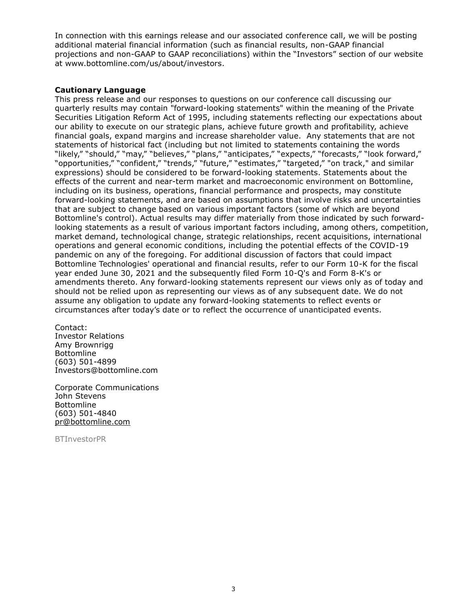In connection with this earnings release and our associated conference call, we will be posting additional material financial information (such as financial results, non-GAAP financial projections and non-GAAP to GAAP reconciliations) within the "Investors" section of our website at www.bottomline.com/us/about/investors.

## **Cautionary Language**

This press release and our responses to questions on our conference call discussing our quarterly results may contain "forward-looking statements" within the meaning of the Private Securities Litigation Reform Act of 1995, including statements reflecting our expectations about our ability to execute on our strategic plans, achieve future growth and profitability, achieve financial goals, expand margins and increase shareholder value. Any statements that are not statements of historical fact (including but not limited to statements containing the words "likely," "should," "may," "believes," "plans," "anticipates," "expects," "forecasts," "look forward," "opportunities," "confident," "trends," "future," "estimates," "targeted," "on track," and similar expressions) should be considered to be forward-looking statements. Statements about the effects of the current and near-term market and macroeconomic environment on Bottomline, including on its business, operations, financial performance and prospects, may constitute forward-looking statements, and are based on assumptions that involve risks and uncertainties that are subject to change based on various important factors (some of which are beyond Bottomline's control). Actual results may differ materially from those indicated by such forwardlooking statements as a result of various important factors including, among others, competition, market demand, technological change, strategic relationships, recent acquisitions, international operations and general economic conditions, including the potential effects of the COVID-19 pandemic on any of the foregoing. For additional discussion of factors that could impact Bottomline Technologies' operational and financial results, refer to our Form 10-K for the fiscal year ended June 30, 2021 and the subsequently filed Form 10-Q's and Form 8-K's or amendments thereto. Any forward-looking statements represent our views only as of today and should not be relied upon as representing our views as of any subsequent date. We do not assume any obligation to update any forward-looking statements to reflect events or circumstances after today's date or to reflect the occurrence of unanticipated events.

Contact: Investor Relations Amy Brownrigg Bottomline (603) 501-4899 Investors@bottomline.com

Corporate Communications John Stevens Bottomline (603) 501-4840 pr@bottomline.com

BTInvestorPR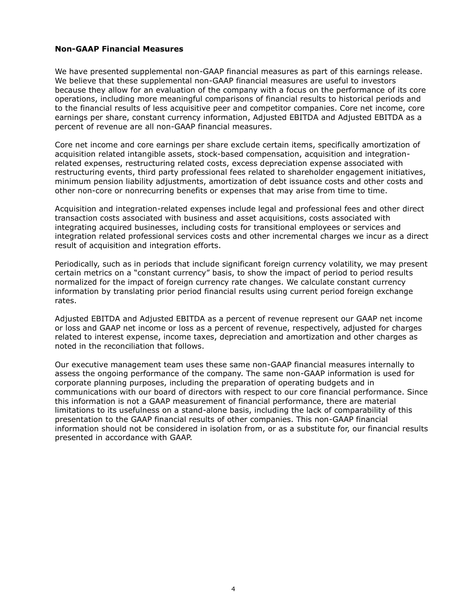#### **Non-GAAP Financial Measures**

We have presented supplemental non-GAAP financial measures as part of this earnings release. We believe that these supplemental non-GAAP financial measures are useful to investors because they allow for an evaluation of the company with a focus on the performance of its core operations, including more meaningful comparisons of financial results to historical periods and to the financial results of less acquisitive peer and competitor companies. Core net income, core earnings per share, constant currency information, Adjusted EBITDA and Adjusted EBITDA as a percent of revenue are all non-GAAP financial measures.

Core net income and core earnings per share exclude certain items, specifically amortization of acquisition related intangible assets, stock-based compensation, acquisition and integrationrelated expenses, restructuring related costs, excess depreciation expense associated with restructuring events, third party professional fees related to shareholder engagement initiatives, minimum pension liability adjustments, amortization of debt issuance costs and other costs and other non-core or nonrecurring benefits or expenses that may arise from time to time.

Acquisition and integration-related expenses include legal and professional fees and other direct transaction costs associated with business and asset acquisitions, costs associated with integrating acquired businesses, including costs for transitional employees or services and integration related professional services costs and other incremental charges we incur as a direct result of acquisition and integration efforts.

Periodically, such as in periods that include significant foreign currency volatility, we may present certain metrics on a "constant currency" basis, to show the impact of period to period results normalized for the impact of foreign currency rate changes. We calculate constant currency information by translating prior period financial results using current period foreign exchange rates.

Adjusted EBITDA and Adjusted EBITDA as a percent of revenue represent our GAAP net income or loss and GAAP net income or loss as a percent of revenue, respectively, adjusted for charges related to interest expense, income taxes, depreciation and amortization and other charges as noted in the reconciliation that follows.

Our executive management team uses these same non-GAAP financial measures internally to assess the ongoing performance of the company. The same non-GAAP information is used for corporate planning purposes, including the preparation of operating budgets and in communications with our board of directors with respect to our core financial performance. Since this information is not a GAAP measurement of financial performance, there are material limitations to its usefulness on a stand-alone basis, including the lack of comparability of this presentation to the GAAP financial results of other companies. This non-GAAP financial information should not be considered in isolation from, or as a substitute for, our financial results presented in accordance with GAAP.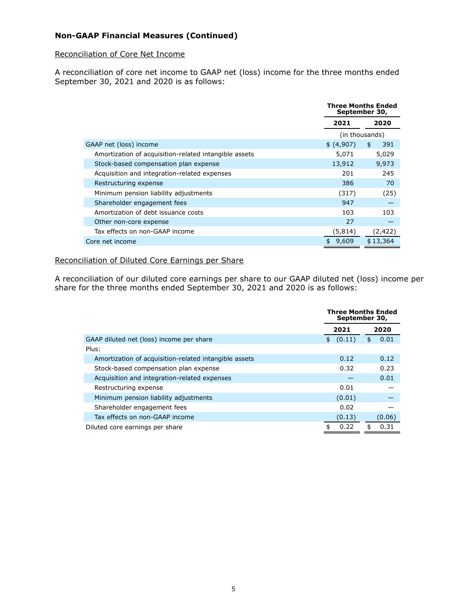# **Non-GAAP Financial Measures (Continued)**

#### Reconciliation of Core Net Income

A reconciliation of core net income to GAAP net (loss) income for the three months ended September 30, 2021 and 2020 is as follows:

|                                                       | Three Months Ended<br>September 30, |           |  |
|-------------------------------------------------------|-------------------------------------|-----------|--|
|                                                       | 2021                                | 2020      |  |
|                                                       | (in thousands)                      |           |  |
| GAAP net (loss) income                                | \$ (4,907)                          | 391<br>\$ |  |
| Amortization of acquisition-related intangible assets | 5,071                               | 5,029     |  |
| Stock-based compensation plan expense                 | 13,912                              | 9,973     |  |
| Acquisition and integration-related expenses          | 201                                 | 245       |  |
| Restructuring expense                                 | 386                                 | 70        |  |
| Minimum pension liability adjustments                 | (317)                               | (25)      |  |
| Shareholder engagement fees                           | 947                                 |           |  |
| Amortization of debt issuance costs                   | 103                                 | 103       |  |
| Other non-core expense                                | 27                                  |           |  |
| Tax effects on non-GAAP income                        | (5,814)                             | (2,422)   |  |
| Core net income                                       | 9,609<br>\$.                        | \$13,364  |  |

# Reconciliation of Diluted Core Earnings per Share

A reconciliation of our diluted core earnings per share to our GAAP diluted net (loss) income per share for the three months ended September 30, 2021 and 2020 is as follows:

|                                                       | <b>Three Months Ended</b><br>September 30, |            |  |
|-------------------------------------------------------|--------------------------------------------|------------|--|
|                                                       | 2021                                       | 2020       |  |
| GAAP diluted net (loss) income per share              | (0.11)<br>\$                               | 0.01<br>\$ |  |
| Plus:                                                 |                                            |            |  |
| Amortization of acquisition-related intangible assets | 0.12                                       | 0.12       |  |
| Stock-based compensation plan expense                 | 0.32                                       | 0.23       |  |
| Acquisition and integration-related expenses          |                                            | 0.01       |  |
| Restructuring expense                                 | 0.01                                       |            |  |
| Minimum pension liability adjustments                 | (0.01)                                     |            |  |
| Shareholder engagement fees                           | 0.02                                       |            |  |
| Tax effects on non-GAAP income                        | (0.13)                                     | (0.06)     |  |
| Diluted core earnings per share                       | 0.22<br>\$                                 | 0.31       |  |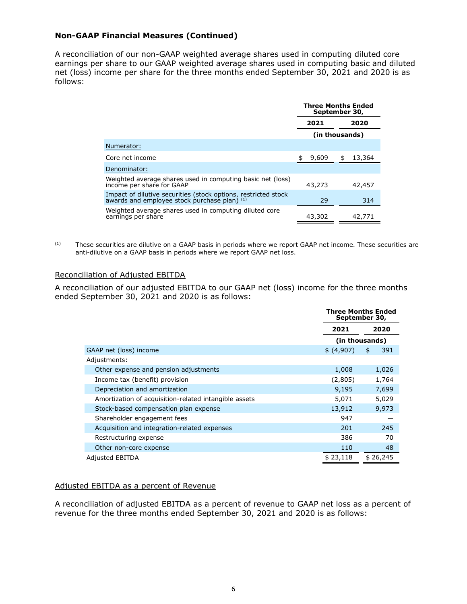# **Non-GAAP Financial Measures (Continued)**

A reconciliation of our non-GAAP weighted average shares used in computing diluted core earnings per share to our GAAP weighted average shares used in computing basic and diluted net (loss) income per share for the three months ended September 30, 2021 and 2020 is as follows:

|                                                                                                                | <b>Three Months Ended</b><br>September 30, |              |  |
|----------------------------------------------------------------------------------------------------------------|--------------------------------------------|--------------|--|
|                                                                                                                | 2021                                       | 2020         |  |
|                                                                                                                | (in thousands)                             |              |  |
| Numerator:                                                                                                     |                                            |              |  |
| Core net income                                                                                                | 9,609<br>\$.                               | 13,364<br>\$ |  |
| Denominator:                                                                                                   |                                            |              |  |
| Weighted average shares used in computing basic net (loss)<br>income per share for GAAP                        | 43,273                                     | 42,457       |  |
| Impact of dilutive securities (stock options, restricted stock<br>awards and employee stock purchase plan) (1) | 29                                         | 314          |  |
| Weighted average shares used in computing diluted core<br>earnings per share                                   | 43,302                                     | 42,771       |  |

 $(1)$  These securities are dilutive on a GAAP basis in periods where we report GAAP net income. These securities are anti-dilutive on a GAAP basis in periods where we report GAAP net loss.

#### Reconciliation of Adjusted EBITDA

A reconciliation of our adjusted EBITDA to our GAAP net (loss) income for the three months ended September 30, 2021 and 2020 is as follows:

|                                                       | <b>Three Months Ended</b><br>September 30, |           |
|-------------------------------------------------------|--------------------------------------------|-----------|
|                                                       | 2021                                       | 2020      |
|                                                       | (in thousands)                             |           |
| GAAP net (loss) income                                | \$ (4,907)                                 | 391<br>\$ |
| Adjustments:                                          |                                            |           |
| Other expense and pension adjustments                 | 1,008                                      | 1,026     |
| Income tax (benefit) provision                        | (2,805)                                    | 1,764     |
| Depreciation and amortization                         | 9,195                                      | 7,699     |
| Amortization of acquisition-related intangible assets | 5,071                                      | 5,029     |
| Stock-based compensation plan expense                 | 13,912                                     | 9,973     |
| Shareholder engagement fees                           | 947                                        |           |
| Acquisition and integration-related expenses          | 201                                        | 245       |
| Restructuring expense                                 | 386                                        | 70        |
| Other non-core expense                                | 110                                        | 48        |
| <b>Adjusted EBITDA</b>                                | \$23,118                                   | \$26,245  |

#### Adjusted EBITDA as a percent of Revenue

A reconciliation of adjusted EBITDA as a percent of revenue to GAAP net loss as a percent of revenue for the three months ended September 30, 2021 and 2020 is as follows: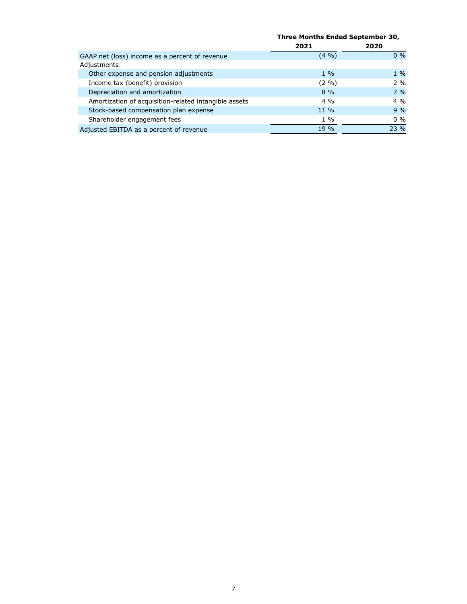| Three Months Ended September 30, |        |
|----------------------------------|--------|
| 2021                             | 2020   |
| $(4 \frac{9}{6})$                | $0\%$  |
|                                  |        |
| $1\%$                            | $1\%$  |
| $(2 \frac{9}{6})$                | $2\%$  |
| $8\%$                            | $7\%$  |
| $4\%$                            | $4\%$  |
| $11\%$                           | 9%     |
| $1\%$                            | $0\%$  |
| 19%                              | $23\%$ |
|                                  |        |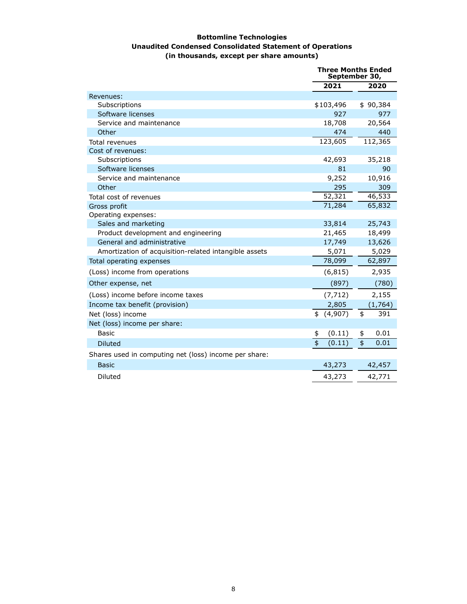## **Bottomline Technologies Unaudited Condensed Consolidated Statement of Operations (in thousands, except per share amounts)**

|                                                       | <b>Three Months Ended</b><br>September 30, |                         |
|-------------------------------------------------------|--------------------------------------------|-------------------------|
|                                                       | 2021                                       | 2020                    |
| Revenues:                                             |                                            |                         |
| Subscriptions                                         | \$103,496                                  | \$90,384                |
| Software licenses                                     | 927                                        | 977                     |
| Service and maintenance                               | 18,708                                     | 20,564                  |
| Other                                                 | 474                                        | 440                     |
| <b>Total revenues</b>                                 | 123,605                                    | 112,365                 |
| Cost of revenues:                                     |                                            |                         |
| Subscriptions                                         | 42,693                                     | 35,218                  |
| Software licenses                                     | 81                                         | 90                      |
| Service and maintenance                               | 9,252                                      | 10,916                  |
| Other                                                 | 295                                        | 309                     |
| Total cost of revenues                                | 52,321                                     | 46,533                  |
| Gross profit                                          | 71,284                                     | 65,832                  |
| Operating expenses:                                   |                                            |                         |
| Sales and marketing                                   | 33,814                                     | 25,743                  |
| Product development and engineering                   | 21,465                                     | 18,499                  |
| General and administrative                            | 17,749                                     | 13,626                  |
| Amortization of acquisition-related intangible assets | 5,071                                      | 5,029                   |
| Total operating expenses                              | 78,099                                     | 62,897                  |
| (Loss) income from operations                         | (6, 815)                                   | 2,935                   |
| Other expense, net                                    | (897)                                      | (780)                   |
| (Loss) income before income taxes                     | (7, 712)                                   | 2,155                   |
| Income tax benefit (provision)                        | 2,805                                      | (1,764)                 |
| Net (loss) income                                     | \$<br>(4,907)                              | 391<br>\$               |
| Net (loss) income per share:                          |                                            |                         |
| Basic                                                 | (0.11)<br>\$                               | 0.01<br>\$              |
| <b>Diluted</b>                                        | $\overline{\mathbf{t}}$<br>(0.11)          | $\ddot{\bm{z}}$<br>0.01 |
| Shares used in computing net (loss) income per share: |                                            |                         |
| <b>Basic</b>                                          | 43,273                                     | 42,457                  |
| Diluted                                               | 43,273                                     | 42,771                  |